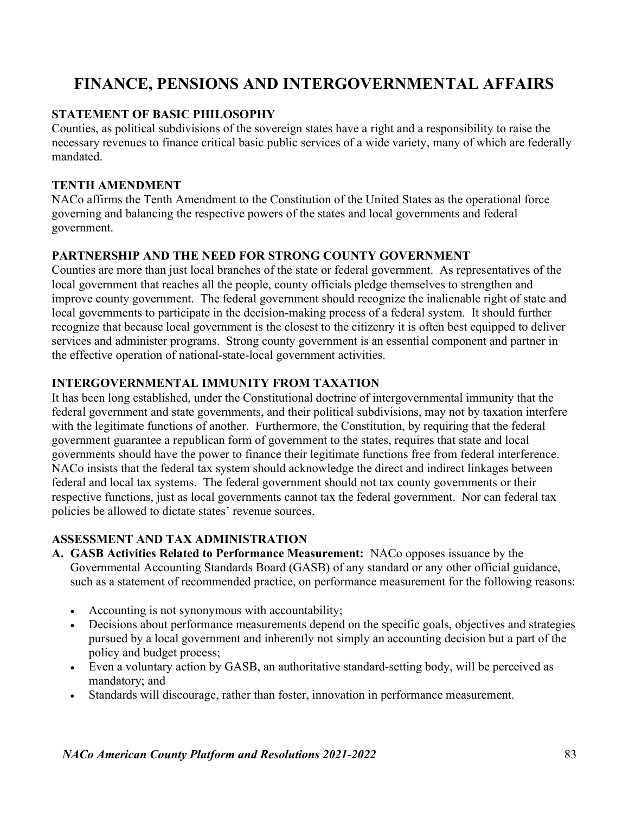# FINANCE, PENSIONS AND INTERGOVERNMENTAL AFFAIRS

# STATEMENT OF BASIC PHILOSOPHY

Counties, as political subdivisions of the sovereign states have a right and a responsibility to raise the necessary revenues to finance critical basic public services of a wide variety, many of which are federally mandated.

#### TENTH AMENDMENT

NACo affirms the Tenth Amendment to the Constitution of the United States as the operational force governing and balancing the respective powers of the states and local governments and federal government.

#### PARTNERSHIP AND THE NEED FOR STRONG COUNTY GOVERNMENT

Counties are more than just local branches of the state or federal government. As representatives of the local government that reaches all the people, county officials pledge themselves to strengthen and improve county government. The federal government should recognize the inalienable right of state and local governments to participate in the decision-making process of a federal system. It should further recognize that because local government is the closest to the citizenry it is often best equipped to deliver services and administer programs. Strong county government is an essential component and partner in the effective operation of national-state-local government activities.

### INTERGOVERNMENTAL IMMUNITY FROM TAXATION

It has been long established, under the Constitutional doctrine of intergovernmental immunity that the federal government and state governments, and their political subdivisions, may not by taxation interfere with the legitimate functions of another. Furthermore, the Constitution, by requiring that the federal government guarantee a republican form of government to the states, requires that state and local governments should have the power to finance their legitimate functions free from federal interference. NACo insists that the federal tax system should acknowledge the direct and indirect linkages between federal and local tax systems. The federal government should not tax county governments or their respective functions, just as local governments cannot tax the federal government. Nor can federal tax policies be allowed to dictate states' revenue sources.

# ASSESSMENT AND TAX ADMINISTRATION

- A. GASB Activities Related to Performance Measurement: NACo opposes issuance by the Governmental Accounting Standards Board (GASB) of any standard or any other official guidance, such as a statement of recommended practice, on performance measurement for the following reasons:
	- Accounting is not synonymous with accountability;
	- Decisions about performance measurements depend on the specific goals, objectives and strategies pursued by a local government and inherently not simply an accounting decision but a part of the policy and budget process;
	- Even a voluntary action by GASB, an authoritative standard-setting body, will be perceived as mandatory; and
	- Standards will discourage, rather than foster, innovation in performance measurement.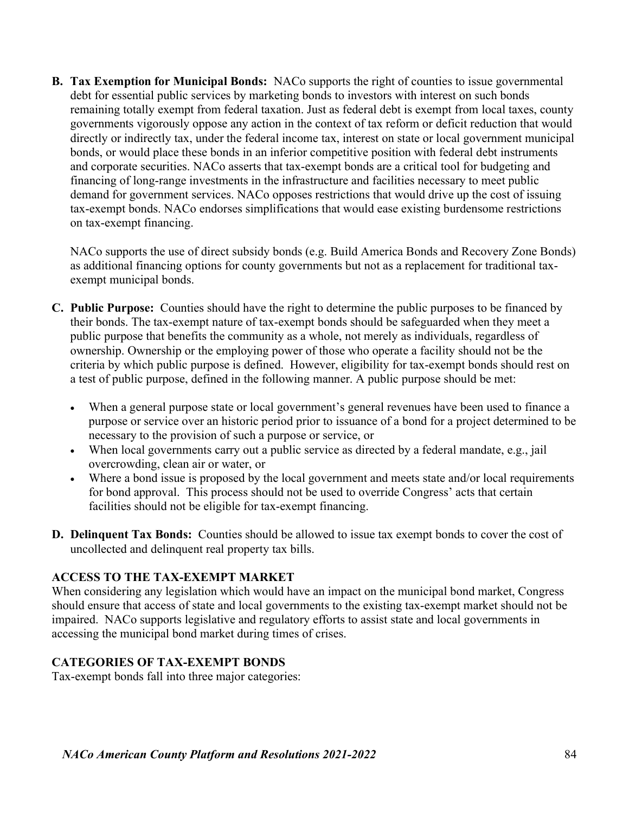B. Tax Exemption for Municipal Bonds: NACo supports the right of counties to issue governmental debt for essential public services by marketing bonds to investors with interest on such bonds remaining totally exempt from federal taxation. Just as federal debt is exempt from local taxes, county governments vigorously oppose any action in the context of tax reform or deficit reduction that would directly or indirectly tax, under the federal income tax, interest on state or local government municipal bonds, or would place these bonds in an inferior competitive position with federal debt instruments and corporate securities. NACo asserts that tax-exempt bonds are a critical tool for budgeting and financing of long-range investments in the infrastructure and facilities necessary to meet public demand for government services. NACo opposes restrictions that would drive up the cost of issuing tax-exempt bonds. NACo endorses simplifications that would ease existing burdensome restrictions on tax-exempt financing.

NACo supports the use of direct subsidy bonds (e.g. Build America Bonds and Recovery Zone Bonds) as additional financing options for county governments but not as a replacement for traditional taxexempt municipal bonds.

- C. Public Purpose: Counties should have the right to determine the public purposes to be financed by their bonds. The tax-exempt nature of tax-exempt bonds should be safeguarded when they meet a public purpose that benefits the community as a whole, not merely as individuals, regardless of ownership. Ownership or the employing power of those who operate a facility should not be the criteria by which public purpose is defined. However, eligibility for tax-exempt bonds should rest on a test of public purpose, defined in the following manner. A public purpose should be met:
	- When a general purpose state or local government's general revenues have been used to finance a purpose or service over an historic period prior to issuance of a bond for a project determined to be necessary to the provision of such a purpose or service, or
	- When local governments carry out a public service as directed by a federal mandate, e.g., jail overcrowding, clean air or water, or
	- Where a bond issue is proposed by the local government and meets state and/or local requirements for bond approval. This process should not be used to override Congress' acts that certain facilities should not be eligible for tax-exempt financing.
- D. Delinquent Tax Bonds: Counties should be allowed to issue tax exempt bonds to cover the cost of uncollected and delinquent real property tax bills.

#### ACCESS TO THE TAX-EXEMPT MARKET

When considering any legislation which would have an impact on the municipal bond market, Congress should ensure that access of state and local governments to the existing tax-exempt market should not be impaired. NACo supports legislative and regulatory efforts to assist state and local governments in accessing the municipal bond market during times of crises.

#### CATEGORIES OF TAX-EXEMPT BONDS

Tax-exempt bonds fall into three major categories: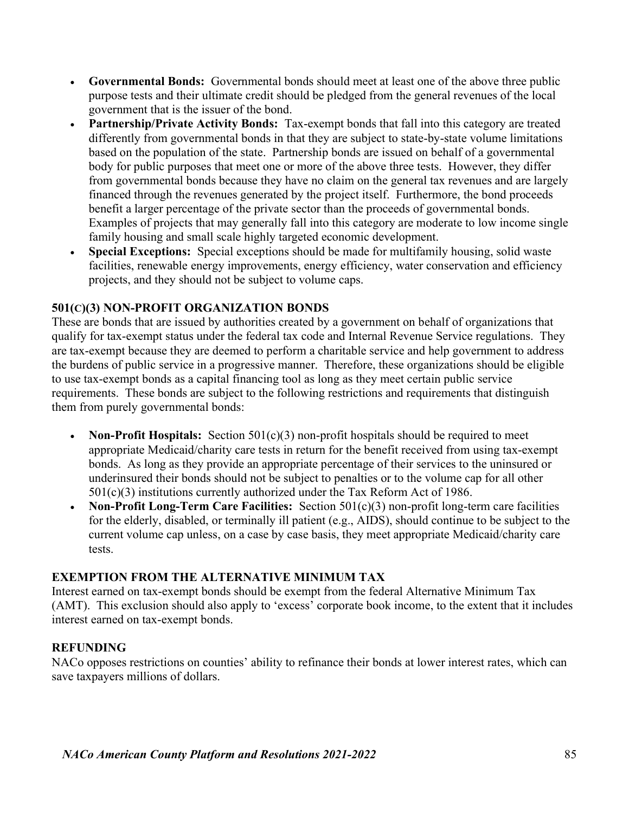- Governmental Bonds: Governmental bonds should meet at least one of the above three public purpose tests and their ultimate credit should be pledged from the general revenues of the local government that is the issuer of the bond.
- Partnership/Private Activity Bonds: Tax-exempt bonds that fall into this category are treated differently from governmental bonds in that they are subject to state-by-state volume limitations based on the population of the state. Partnership bonds are issued on behalf of a governmental body for public purposes that meet one or more of the above three tests. However, they differ from governmental bonds because they have no claim on the general tax revenues and are largely financed through the revenues generated by the project itself. Furthermore, the bond proceeds benefit a larger percentage of the private sector than the proceeds of governmental bonds. Examples of projects that may generally fall into this category are moderate to low income single family housing and small scale highly targeted economic development.
- Special Exceptions: Special exceptions should be made for multifamily housing, solid waste facilities, renewable energy improvements, energy efficiency, water conservation and efficiency projects, and they should not be subject to volume caps.

### 501(C)(3) NON-PROFIT ORGANIZATION BONDS

These are bonds that are issued by authorities created by a government on behalf of organizations that qualify for tax-exempt status under the federal tax code and Internal Revenue Service regulations. They are tax-exempt because they are deemed to perform a charitable service and help government to address the burdens of public service in a progressive manner. Therefore, these organizations should be eligible to use tax-exempt bonds as a capital financing tool as long as they meet certain public service requirements. These bonds are subject to the following restrictions and requirements that distinguish them from purely governmental bonds:

- Non-Profit Hospitals: Section  $501(c)(3)$  non-profit hospitals should be required to meet appropriate Medicaid/charity care tests in return for the benefit received from using tax-exempt bonds. As long as they provide an appropriate percentage of their services to the uninsured or underinsured their bonds should not be subject to penalties or to the volume cap for all other 501(c)(3) institutions currently authorized under the Tax Reform Act of 1986.
- Non-Profit Long-Term Care Facilities: Section  $501(c)(3)$  non-profit long-term care facilities for the elderly, disabled, or terminally ill patient (e.g., AIDS), should continue to be subject to the current volume cap unless, on a case by case basis, they meet appropriate Medicaid/charity care tests.

#### EXEMPTION FROM THE ALTERNATIVE MINIMUM TAX

Interest earned on tax-exempt bonds should be exempt from the federal Alternative Minimum Tax (AMT). This exclusion should also apply to 'excess' corporate book income, to the extent that it includes interest earned on tax-exempt bonds.

#### REFUNDING

NACo opposes restrictions on counties' ability to refinance their bonds at lower interest rates, which can save taxpayers millions of dollars.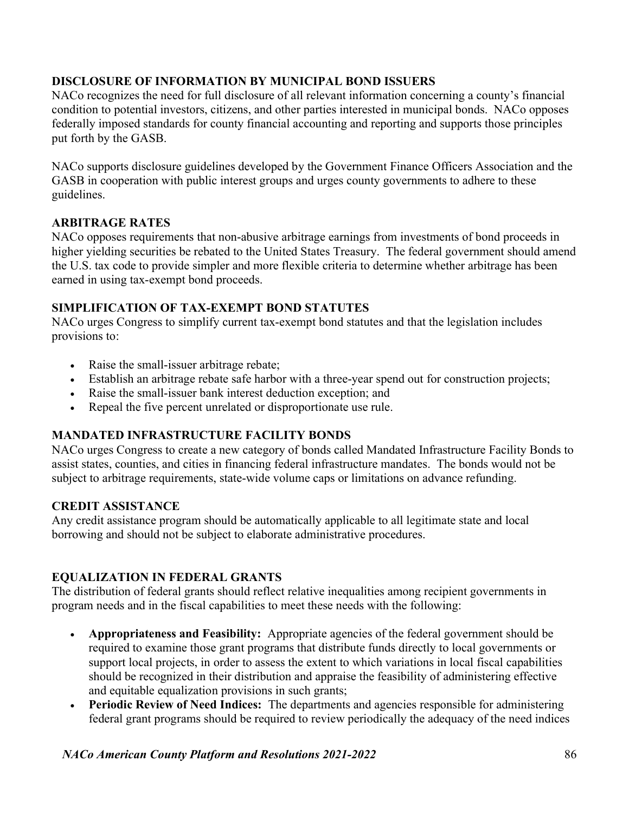# DISCLOSURE OF INFORMATION BY MUNICIPAL BOND ISSUERS

NACo recognizes the need for full disclosure of all relevant information concerning a county's financial condition to potential investors, citizens, and other parties interested in municipal bonds. NACo opposes federally imposed standards for county financial accounting and reporting and supports those principles put forth by the GASB.

NACo supports disclosure guidelines developed by the Government Finance Officers Association and the GASB in cooperation with public interest groups and urges county governments to adhere to these guidelines.

# ARBITRAGE RATES

NACo opposes requirements that non-abusive arbitrage earnings from investments of bond proceeds in higher yielding securities be rebated to the United States Treasury. The federal government should amend the U.S. tax code to provide simpler and more flexible criteria to determine whether arbitrage has been earned in using tax-exempt bond proceeds.

# SIMPLIFICATION OF TAX-EXEMPT BOND STATUTES

NACo urges Congress to simplify current tax-exempt bond statutes and that the legislation includes provisions to:

- Raise the small-issuer arbitrage rebate;
- Establish an arbitrage rebate safe harbor with a three-year spend out for construction projects;
- Raise the small-issuer bank interest deduction exception; and
- Repeal the five percent unrelated or disproportionate use rule.

# MANDATED INFRASTRUCTURE FACILITY BONDS

NACo urges Congress to create a new category of bonds called Mandated Infrastructure Facility Bonds to assist states, counties, and cities in financing federal infrastructure mandates. The bonds would not be subject to arbitrage requirements, state-wide volume caps or limitations on advance refunding.

# CREDIT ASSISTANCE

Any credit assistance program should be automatically applicable to all legitimate state and local borrowing and should not be subject to elaborate administrative procedures.

# EQUALIZATION IN FEDERAL GRANTS

The distribution of federal grants should reflect relative inequalities among recipient governments in program needs and in the fiscal capabilities to meet these needs with the following:

- Appropriateness and Feasibility: Appropriate agencies of the federal government should be required to examine those grant programs that distribute funds directly to local governments or support local projects, in order to assess the extent to which variations in local fiscal capabilities should be recognized in their distribution and appraise the feasibility of administering effective and equitable equalization provisions in such grants;
- Periodic Review of Need Indices: The departments and agencies responsible for administering federal grant programs should be required to review periodically the adequacy of the need indices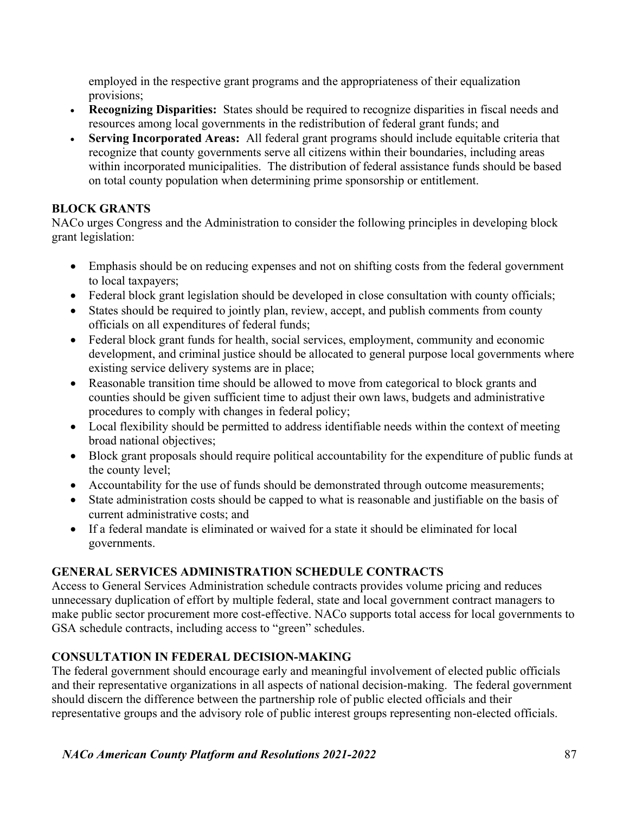employed in the respective grant programs and the appropriateness of their equalization provisions;

- Recognizing Disparities: States should be required to recognize disparities in fiscal needs and resources among local governments in the redistribution of federal grant funds; and
- Serving Incorporated Areas: All federal grant programs should include equitable criteria that recognize that county governments serve all citizens within their boundaries, including areas within incorporated municipalities. The distribution of federal assistance funds should be based on total county population when determining prime sponsorship or entitlement.

# BLOCK GRANTS

NACo urges Congress and the Administration to consider the following principles in developing block grant legislation:

- Emphasis should be on reducing expenses and not on shifting costs from the federal government to local taxpayers;
- Federal block grant legislation should be developed in close consultation with county officials;
- States should be required to jointly plan, review, accept, and publish comments from county officials on all expenditures of federal funds;
- Federal block grant funds for health, social services, employment, community and economic development, and criminal justice should be allocated to general purpose local governments where existing service delivery systems are in place;
- Reasonable transition time should be allowed to move from categorical to block grants and counties should be given sufficient time to adjust their own laws, budgets and administrative procedures to comply with changes in federal policy;
- Local flexibility should be permitted to address identifiable needs within the context of meeting broad national objectives;
- Block grant proposals should require political accountability for the expenditure of public funds at the county level;
- Accountability for the use of funds should be demonstrated through outcome measurements;
- State administration costs should be capped to what is reasonable and justifiable on the basis of current administrative costs; and
- If a federal mandate is eliminated or waived for a state it should be eliminated for local governments.

# GENERAL SERVICES ADMINISTRATION SCHEDULE CONTRACTS

Access to General Services Administration schedule contracts provides volume pricing and reduces unnecessary duplication of effort by multiple federal, state and local government contract managers to make public sector procurement more cost-effective. NACo supports total access for local governments to GSA schedule contracts, including access to "green" schedules.

# CONSULTATION IN FEDERAL DECISION-MAKING

The federal government should encourage early and meaningful involvement of elected public officials and their representative organizations in all aspects of national decision-making. The federal government should discern the difference between the partnership role of public elected officials and their representative groups and the advisory role of public interest groups representing non-elected officials.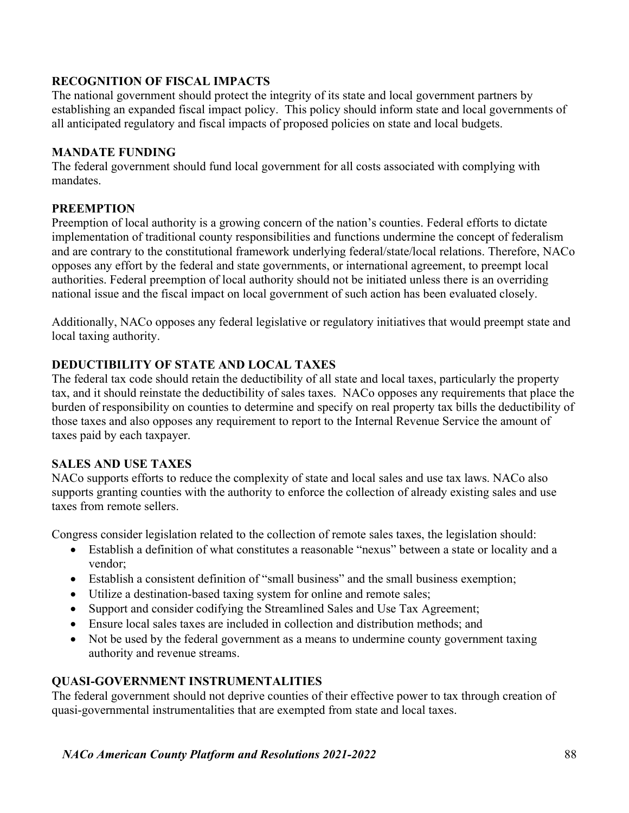# RECOGNITION OF FISCAL IMPACTS

The national government should protect the integrity of its state and local government partners by establishing an expanded fiscal impact policy. This policy should inform state and local governments of all anticipated regulatory and fiscal impacts of proposed policies on state and local budgets.

### MANDATE FUNDING

The federal government should fund local government for all costs associated with complying with mandates.

### **PREEMPTION**

Preemption of local authority is a growing concern of the nation's counties. Federal efforts to dictate implementation of traditional county responsibilities and functions undermine the concept of federalism and are contrary to the constitutional framework underlying federal/state/local relations. Therefore, NACo opposes any effort by the federal and state governments, or international agreement, to preempt local authorities. Federal preemption of local authority should not be initiated unless there is an overriding national issue and the fiscal impact on local government of such action has been evaluated closely.

Additionally, NACo opposes any federal legislative or regulatory initiatives that would preempt state and local taxing authority.

# DEDUCTIBILITY OF STATE AND LOCAL TAXES

The federal tax code should retain the deductibility of all state and local taxes, particularly the property tax, and it should reinstate the deductibility of sales taxes. NACo opposes any requirements that place the burden of responsibility on counties to determine and specify on real property tax bills the deductibility of those taxes and also opposes any requirement to report to the Internal Revenue Service the amount of taxes paid by each taxpayer.

#### SALES AND USE TAXES

NACo supports efforts to reduce the complexity of state and local sales and use tax laws. NACo also supports granting counties with the authority to enforce the collection of already existing sales and use taxes from remote sellers.

Congress consider legislation related to the collection of remote sales taxes, the legislation should:

- Establish a definition of what constitutes a reasonable "nexus" between a state or locality and a vendor;
- Establish a consistent definition of "small business" and the small business exemption;
- Utilize a destination-based taxing system for online and remote sales;
- Support and consider codifying the Streamlined Sales and Use Tax Agreement;
- Ensure local sales taxes are included in collection and distribution methods; and
- Not be used by the federal government as a means to undermine county government taxing authority and revenue streams.

# QUASI-GOVERNMENT INSTRUMENTALITIES

The federal government should not deprive counties of their effective power to tax through creation of quasi-governmental instrumentalities that are exempted from state and local taxes.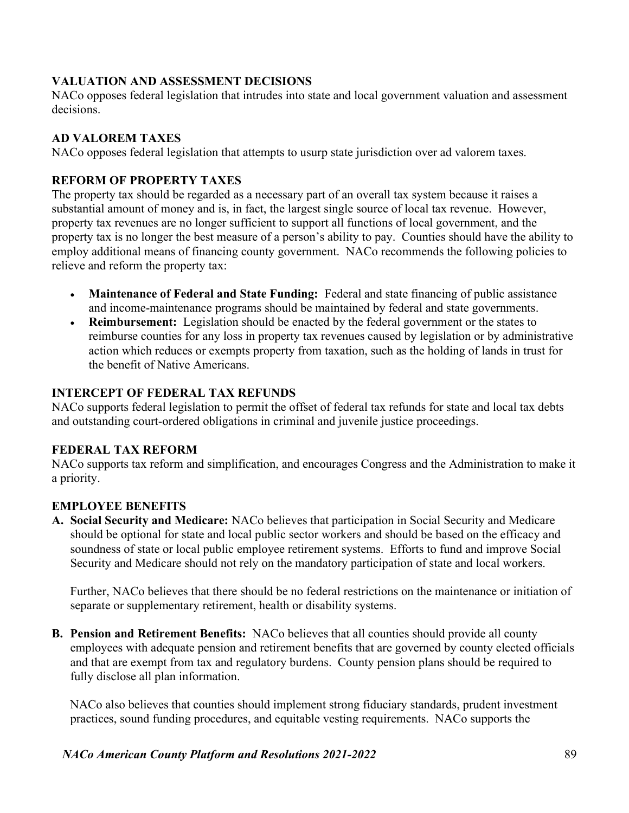# VALUATION AND ASSESSMENT DECISIONS

NACo opposes federal legislation that intrudes into state and local government valuation and assessment decisions.

# AD VALOREM TAXES

NACo opposes federal legislation that attempts to usurp state jurisdiction over ad valorem taxes.

# REFORM OF PROPERTY TAXES

The property tax should be regarded as a necessary part of an overall tax system because it raises a substantial amount of money and is, in fact, the largest single source of local tax revenue. However, property tax revenues are no longer sufficient to support all functions of local government, and the property tax is no longer the best measure of a person's ability to pay. Counties should have the ability to employ additional means of financing county government. NACo recommends the following policies to relieve and reform the property tax:

- Maintenance of Federal and State Funding: Federal and state financing of public assistance and income-maintenance programs should be maintained by federal and state governments.
- Reimbursement: Legislation should be enacted by the federal government or the states to reimburse counties for any loss in property tax revenues caused by legislation or by administrative action which reduces or exempts property from taxation, such as the holding of lands in trust for the benefit of Native Americans.

### INTERCEPT OF FEDERAL TAX REFUNDS

NACo supports federal legislation to permit the offset of federal tax refunds for state and local tax debts and outstanding court-ordered obligations in criminal and juvenile justice proceedings.

# FEDERAL TAX REFORM

NACo supports tax reform and simplification, and encourages Congress and the Administration to make it a priority.

# EMPLOYEE BENEFITS

A. Social Security and Medicare: NACo believes that participation in Social Security and Medicare should be optional for state and local public sector workers and should be based on the efficacy and soundness of state or local public employee retirement systems. Efforts to fund and improve Social Security and Medicare should not rely on the mandatory participation of state and local workers.

 Further, NACo believes that there should be no federal restrictions on the maintenance or initiation of separate or supplementary retirement, health or disability systems.

B. Pension and Retirement Benefits: NACo believes that all counties should provide all county employees with adequate pension and retirement benefits that are governed by county elected officials and that are exempt from tax and regulatory burdens. County pension plans should be required to fully disclose all plan information.

 NACo also believes that counties should implement strong fiduciary standards, prudent investment practices, sound funding procedures, and equitable vesting requirements. NACo supports the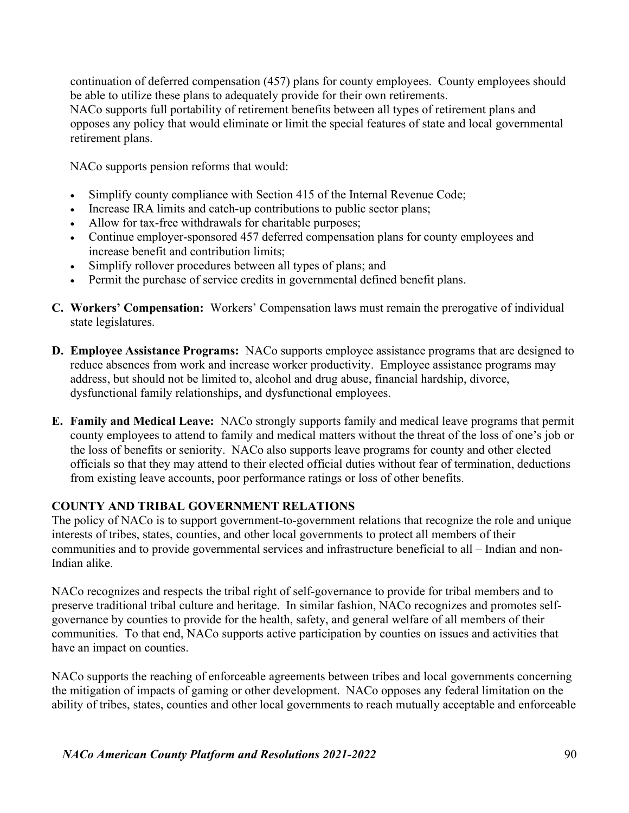continuation of deferred compensation (457) plans for county employees. County employees should be able to utilize these plans to adequately provide for their own retirements.

 NACo supports full portability of retirement benefits between all types of retirement plans and opposes any policy that would eliminate or limit the special features of state and local governmental retirement plans.

NACo supports pension reforms that would:

- Simplify county compliance with Section 415 of the Internal Revenue Code;
- Increase IRA limits and catch-up contributions to public sector plans;
- Allow for tax-free withdrawals for charitable purposes;
- Continue employer-sponsored 457 deferred compensation plans for county employees and increase benefit and contribution limits;
- Simplify rollover procedures between all types of plans; and
- Permit the purchase of service credits in governmental defined benefit plans.
- C. Workers' Compensation: Workers' Compensation laws must remain the prerogative of individual state legislatures.
- D. Employee Assistance Programs: NACo supports employee assistance programs that are designed to reduce absences from work and increase worker productivity. Employee assistance programs may address, but should not be limited to, alcohol and drug abuse, financial hardship, divorce, dysfunctional family relationships, and dysfunctional employees.
- E. Family and Medical Leave: NACo strongly supports family and medical leave programs that permit county employees to attend to family and medical matters without the threat of the loss of one's job or the loss of benefits or seniority. NACo also supports leave programs for county and other elected officials so that they may attend to their elected official duties without fear of termination, deductions from existing leave accounts, poor performance ratings or loss of other benefits.

#### COUNTY AND TRIBAL GOVERNMENT RELATIONS

The policy of NACo is to support government-to-government relations that recognize the role and unique interests of tribes, states, counties, and other local governments to protect all members of their communities and to provide governmental services and infrastructure beneficial to all – Indian and non-Indian alike.

NACo recognizes and respects the tribal right of self-governance to provide for tribal members and to preserve traditional tribal culture and heritage. In similar fashion, NACo recognizes and promotes selfgovernance by counties to provide for the health, safety, and general welfare of all members of their communities. To that end, NACo supports active participation by counties on issues and activities that have an impact on counties.

NACo supports the reaching of enforceable agreements between tribes and local governments concerning the mitigation of impacts of gaming or other development. NACo opposes any federal limitation on the ability of tribes, states, counties and other local governments to reach mutually acceptable and enforceable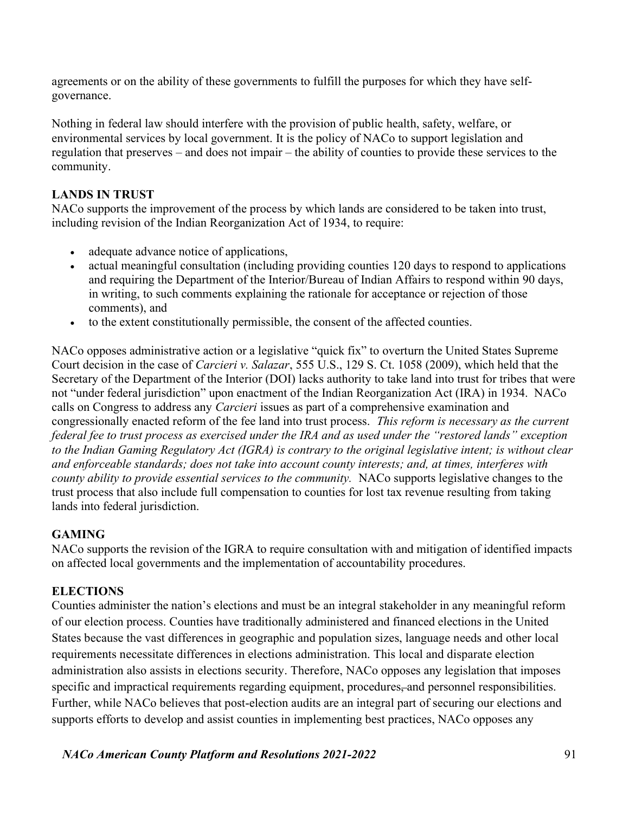agreements or on the ability of these governments to fulfill the purposes for which they have selfgovernance.

Nothing in federal law should interfere with the provision of public health, safety, welfare, or environmental services by local government. It is the policy of NACo to support legislation and regulation that preserves – and does not impair – the ability of counties to provide these services to the community.

# LANDS IN TRUST

NACo supports the improvement of the process by which lands are considered to be taken into trust, including revision of the Indian Reorganization Act of 1934, to require:

- adequate advance notice of applications,
- actual meaningful consultation (including providing counties 120 days to respond to applications and requiring the Department of the Interior/Bureau of Indian Affairs to respond within 90 days, in writing, to such comments explaining the rationale for acceptance or rejection of those comments), and
- to the extent constitutionally permissible, the consent of the affected counties.

NACo opposes administrative action or a legislative "quick fix" to overturn the United States Supreme Court decision in the case of Carcieri v. Salazar, 555 U.S., 129 S. Ct. 1058 (2009), which held that the Secretary of the Department of the Interior (DOI) lacks authority to take land into trust for tribes that were not "under federal jurisdiction" upon enactment of the Indian Reorganization Act (IRA) in 1934. NACo calls on Congress to address any Carcieri issues as part of a comprehensive examination and congressionally enacted reform of the fee land into trust process. This reform is necessary as the current federal fee to trust process as exercised under the IRA and as used under the "restored lands" exception to the Indian Gaming Regulatory Act (IGRA) is contrary to the original legislative intent; is without clear and enforceable standards; does not take into account county interests; and, at times, interferes with county ability to provide essential services to the community. NACo supports legislative changes to the trust process that also include full compensation to counties for lost tax revenue resulting from taking lands into federal jurisdiction.

#### GAMING

NACo supports the revision of the IGRA to require consultation with and mitigation of identified impacts on affected local governments and the implementation of accountability procedures.

#### **ELECTIONS**

Counties administer the nation's elections and must be an integral stakeholder in any meaningful reform of our election process. Counties have traditionally administered and financed elections in the United States because the vast differences in geographic and population sizes, language needs and other local requirements necessitate differences in elections administration. This local and disparate election administration also assists in elections security. Therefore, NACo opposes any legislation that imposes specific and impractical requirements regarding equipment, procedures, and personnel responsibilities. Further, while NACo believes that post-election audits are an integral part of securing our elections and supports efforts to develop and assist counties in implementing best practices, NACo opposes any

NACo American County Platform and Resolutions 2021-2022 91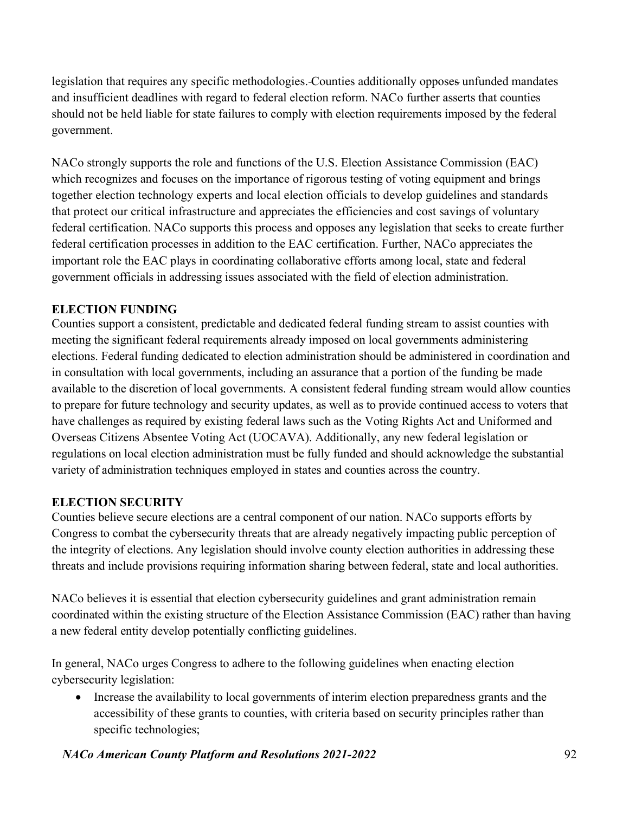legislation that requires any specific methodologies. Counties additionally opposes unfunded mandates and insufficient deadlines with regard to federal election reform. NACo further asserts that counties should not be held liable for state failures to comply with election requirements imposed by the federal government.

NACo strongly supports the role and functions of the U.S. Election Assistance Commission (EAC) which recognizes and focuses on the importance of rigorous testing of voting equipment and brings together election technology experts and local election officials to develop guidelines and standards that protect our critical infrastructure and appreciates the efficiencies and cost savings of voluntary federal certification. NACo supports this process and opposes any legislation that seeks to create further federal certification processes in addition to the EAC certification. Further, NACo appreciates the important role the EAC plays in coordinating collaborative efforts among local, state and federal government officials in addressing issues associated with the field of election administration.

# ELECTION FUNDING

Counties support a consistent, predictable and dedicated federal funding stream to assist counties with meeting the significant federal requirements already imposed on local governments administering elections. Federal funding dedicated to election administration should be administered in coordination and in consultation with local governments, including an assurance that a portion of the funding be made available to the discretion of local governments. A consistent federal funding stream would allow counties to prepare for future technology and security updates, as well as to provide continued access to voters that have challenges as required by existing federal laws such as the Voting Rights Act and Uniformed and Overseas Citizens Absentee Voting Act (UOCAVA). Additionally, any new federal legislation or regulations on local election administration must be fully funded and should acknowledge the substantial variety of administration techniques employed in states and counties across the country.

# ELECTION SECURITY

Counties believe secure elections are a central component of our nation. NACo supports efforts by Congress to combat the cybersecurity threats that are already negatively impacting public perception of the integrity of elections. Any legislation should involve county election authorities in addressing these threats and include provisions requiring information sharing between federal, state and local authorities.

NACo believes it is essential that election cybersecurity guidelines and grant administration remain coordinated within the existing structure of the Election Assistance Commission (EAC) rather than having a new federal entity develop potentially conflicting guidelines.

In general, NACo urges Congress to adhere to the following guidelines when enacting election cybersecurity legislation:

• Increase the availability to local governments of interim election preparedness grants and the accessibility of these grants to counties, with criteria based on security principles rather than specific technologies;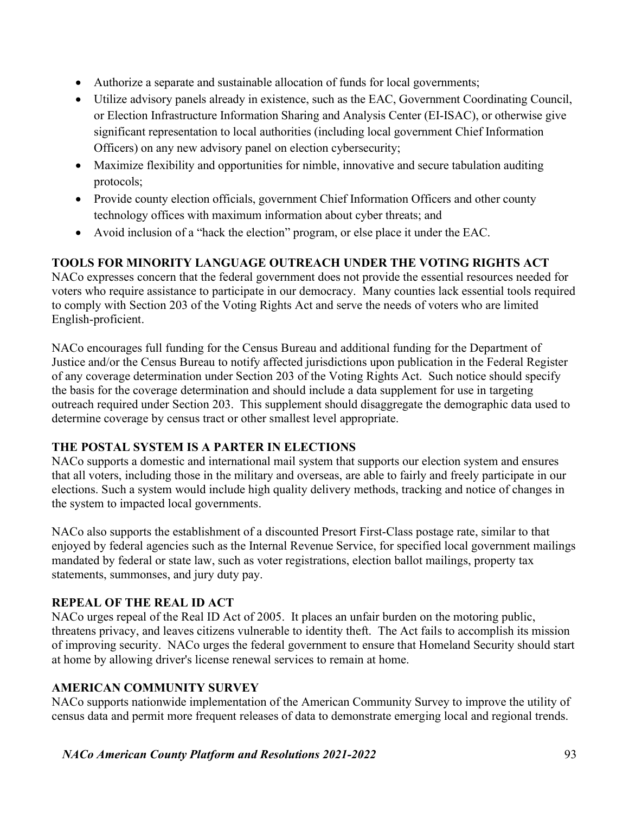- Authorize a separate and sustainable allocation of funds for local governments;
- Utilize advisory panels already in existence, such as the EAC, Government Coordinating Council, or Election Infrastructure Information Sharing and Analysis Center (EI-ISAC), or otherwise give significant representation to local authorities (including local government Chief Information Officers) on any new advisory panel on election cybersecurity;
- Maximize flexibility and opportunities for nimble, innovative and secure tabulation auditing protocols;
- Provide county election officials, government Chief Information Officers and other county technology offices with maximum information about cyber threats; and
- Avoid inclusion of a "hack the election" program, or else place it under the EAC.

# TOOLS FOR MINORITY LANGUAGE OUTREACH UNDER THE VOTING RIGHTS ACT

NACo expresses concern that the federal government does not provide the essential resources needed for voters who require assistance to participate in our democracy. Many counties lack essential tools required to comply with Section 203 of the Voting Rights Act and serve the needs of voters who are limited English-proficient.

NACo encourages full funding for the Census Bureau and additional funding for the Department of Justice and/or the Census Bureau to notify affected jurisdictions upon publication in the Federal Register of any coverage determination under Section 203 of the Voting Rights Act. Such notice should specify the basis for the coverage determination and should include a data supplement for use in targeting outreach required under Section 203. This supplement should disaggregate the demographic data used to determine coverage by census tract or other smallest level appropriate.

#### THE POSTAL SYSTEM IS A PARTER IN ELECTIONS

NACo supports a domestic and international mail system that supports our election system and ensures that all voters, including those in the military and overseas, are able to fairly and freely participate in our elections. Such a system would include high quality delivery methods, tracking and notice of changes in the system to impacted local governments.

NACo also supports the establishment of a discounted Presort First-Class postage rate, similar to that enjoyed by federal agencies such as the Internal Revenue Service, for specified local government mailings mandated by federal or state law, such as voter registrations, election ballot mailings, property tax statements, summonses, and jury duty pay.

# REPEAL OF THE REAL ID ACT

NACo urges repeal of the Real ID Act of 2005. It places an unfair burden on the motoring public, threatens privacy, and leaves citizens vulnerable to identity theft. The Act fails to accomplish its mission of improving security. NACo urges the federal government to ensure that Homeland Security should start at home by allowing driver's license renewal services to remain at home.

#### AMERICAN COMMUNITY SURVEY

NACo supports nationwide implementation of the American Community Survey to improve the utility of census data and permit more frequent releases of data to demonstrate emerging local and regional trends.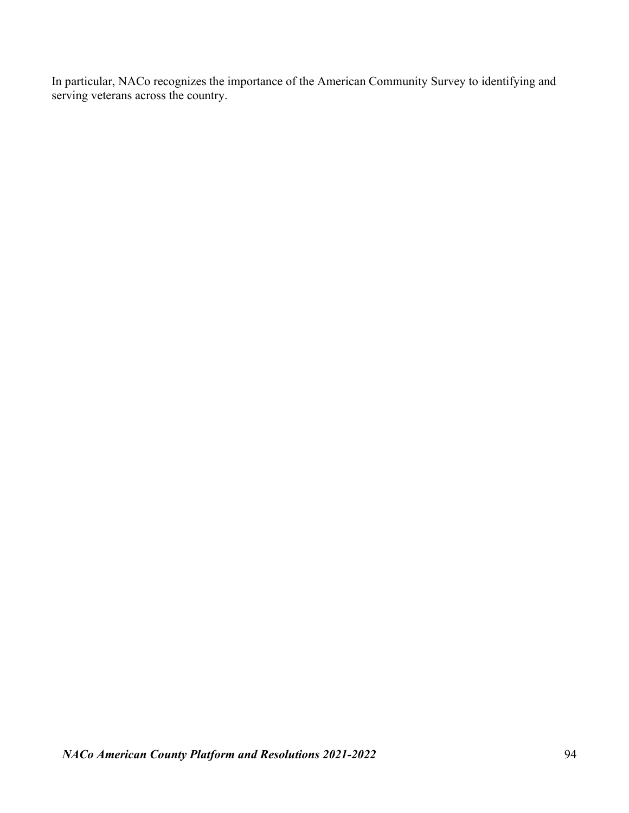In particular, NACo recognizes the importance of the American Community Survey to identifying and serving veterans across the country.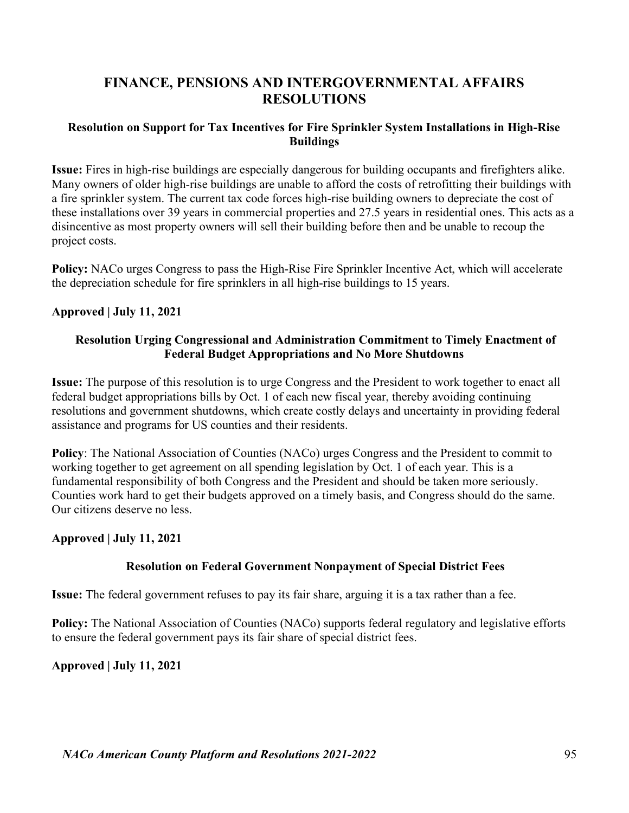# FINANCE, PENSIONS AND INTERGOVERNMENTAL AFFAIRS RESOLUTIONS

#### Resolution on Support for Tax Incentives for Fire Sprinkler System Installations in High-Rise Buildings

Issue: Fires in high-rise buildings are especially dangerous for building occupants and firefighters alike. Many owners of older high-rise buildings are unable to afford the costs of retrofitting their buildings with a fire sprinkler system. The current tax code forces high-rise building owners to depreciate the cost of these installations over 39 years in commercial properties and 27.5 years in residential ones. This acts as a disincentive as most property owners will sell their building before then and be unable to recoup the project costs.

Policy: NACo urges Congress to pass the High-Rise Fire Sprinkler Incentive Act, which will accelerate the depreciation schedule for fire sprinklers in all high-rise buildings to 15 years.

#### Approved | July 11, 2021

#### Resolution Urging Congressional and Administration Commitment to Timely Enactment of Federal Budget Appropriations and No More Shutdowns

Issue: The purpose of this resolution is to urge Congress and the President to work together to enact all federal budget appropriations bills by Oct. 1 of each new fiscal year, thereby avoiding continuing resolutions and government shutdowns, which create costly delays and uncertainty in providing federal assistance and programs for US counties and their residents.

Policy: The National Association of Counties (NACo) urges Congress and the President to commit to working together to get agreement on all spending legislation by Oct. 1 of each year. This is a fundamental responsibility of both Congress and the President and should be taken more seriously. Counties work hard to get their budgets approved on a timely basis, and Congress should do the same. Our citizens deserve no less.

#### Approved | July 11, 2021

#### Resolution on Federal Government Nonpayment of Special District Fees

Issue: The federal government refuses to pay its fair share, arguing it is a tax rather than a fee.

Policy: The National Association of Counties (NACo) supports federal regulatory and legislative efforts to ensure the federal government pays its fair share of special district fees.

#### Approved | July 11, 2021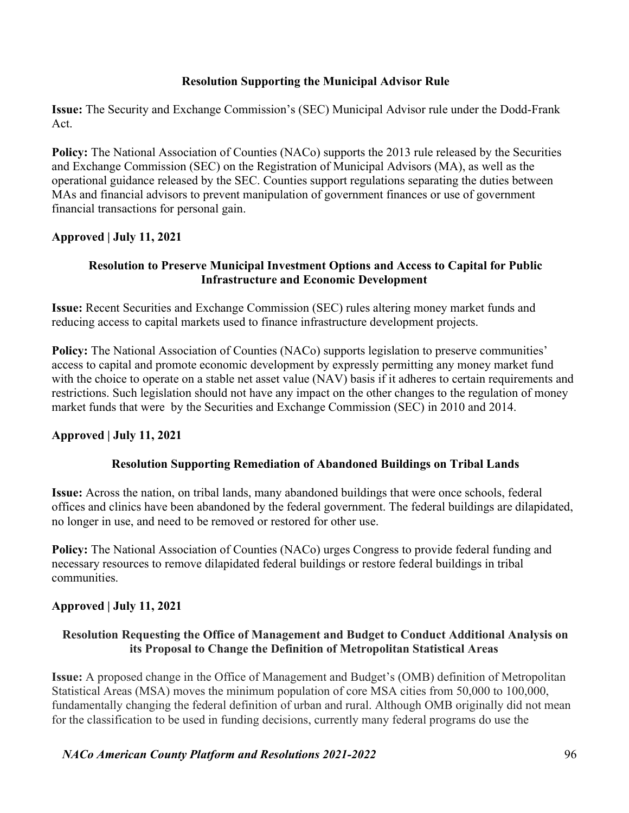#### Resolution Supporting the Municipal Advisor Rule

Issue: The Security and Exchange Commission's (SEC) Municipal Advisor rule under the Dodd-Frank Act.

Policy: The National Association of Counties (NACo) supports the 2013 rule released by the Securities and Exchange Commission (SEC) on the Registration of Municipal Advisors (MA), as well as the operational guidance released by the SEC. Counties support regulations separating the duties between MAs and financial advisors to prevent manipulation of government finances or use of government financial transactions for personal gain.

#### Approved | July 11, 2021

#### Resolution to Preserve Municipal Investment Options and Access to Capital for Public Infrastructure and Economic Development

Issue: Recent Securities and Exchange Commission (SEC) rules altering money market funds and reducing access to capital markets used to finance infrastructure development projects.

Policy: The National Association of Counties (NACo) supports legislation to preserve communities' access to capital and promote economic development by expressly permitting any money market fund with the choice to operate on a stable net asset value (NAV) basis if it adheres to certain requirements and restrictions. Such legislation should not have any impact on the other changes to the regulation of money market funds that were by the Securities and Exchange Commission (SEC) in 2010 and 2014.

#### Approved | July 11, 2021

#### Resolution Supporting Remediation of Abandoned Buildings on Tribal Lands

Issue: Across the nation, on tribal lands, many abandoned buildings that were once schools, federal offices and clinics have been abandoned by the federal government. The federal buildings are dilapidated, no longer in use, and need to be removed or restored for other use.

Policy: The National Association of Counties (NACo) urges Congress to provide federal funding and necessary resources to remove dilapidated federal buildings or restore federal buildings in tribal communities.

#### Approved | July 11, 2021

#### Resolution Requesting the Office of Management and Budget to Conduct Additional Analysis on its Proposal to Change the Definition of Metropolitan Statistical Areas

Issue: A proposed change in the Office of Management and Budget's (OMB) definition of Metropolitan Statistical Areas (MSA) moves the minimum population of core MSA cities from 50,000 to 100,000, fundamentally changing the federal definition of urban and rural. Although OMB originally did not mean for the classification to be used in funding decisions, currently many federal programs do use the

NACo American County Platform and Resolutions 2021-2022 96